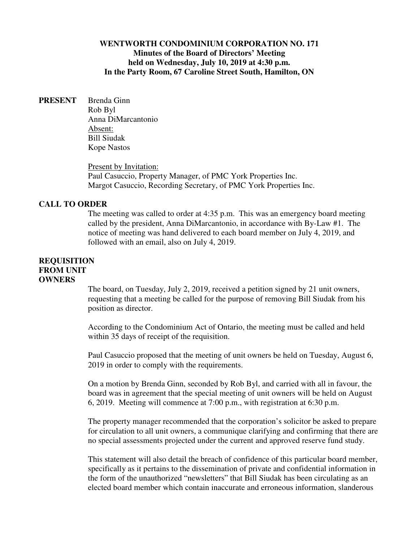# **WENTWORTH CONDOMINIUM CORPORATION NO. 171 Minutes of the Board of Directors' Meeting held on Wednesday, July 10, 2019 at 4:30 p.m. In the Party Room, 67 Caroline Street South, Hamilton, ON**

**PRESENT** Brenda Ginn Rob Byl Anna DiMarcantonio Absent: Bill Siudak Kope Nastos

> Present by Invitation: Paul Casuccio, Property Manager, of PMC York Properties Inc. Margot Casuccio, Recording Secretary, of PMC York Properties Inc.

#### **CALL TO ORDER**

The meeting was called to order at 4:35 p.m. This was an emergency board meeting called by the president, Anna DiMarcantonio, in accordance with By-Law #1. The notice of meeting was hand delivered to each board member on July 4, 2019, and followed with an email, also on July 4, 2019.

# **REQUISITION FROM UNIT OWNERS**

The board, on Tuesday, July 2, 2019, received a petition signed by 21 unit owners, requesting that a meeting be called for the purpose of removing Bill Siudak from his position as director.

According to the Condominium Act of Ontario, the meeting must be called and held within 35 days of receipt of the requisition.

Paul Casuccio proposed that the meeting of unit owners be held on Tuesday, August 6, 2019 in order to comply with the requirements.

On a motion by Brenda Ginn, seconded by Rob Byl, and carried with all in favour, the board was in agreement that the special meeting of unit owners will be held on August 6, 2019. Meeting will commence at 7:00 p.m., with registration at 6:30 p.m.

The property manager recommended that the corporation's solicitor be asked to prepare for circulation to all unit owners, a communique clarifying and confirming that there are no special assessments projected under the current and approved reserve fund study.

This statement will also detail the breach of confidence of this particular board member, specifically as it pertains to the dissemination of private and confidential information in the form of the unauthorized "newsletters" that Bill Siudak has been circulating as an elected board member which contain inaccurate and erroneous information, slanderous